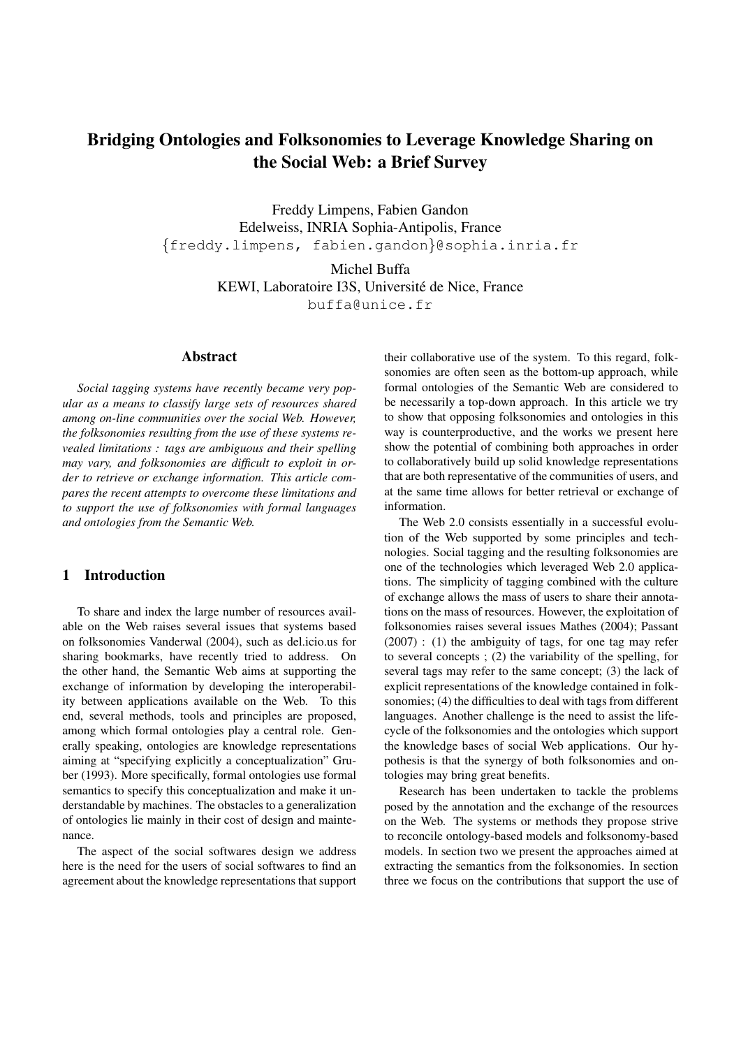# Bridging Ontologies and Folksonomies to Leverage Knowledge Sharing on the Social Web: a Brief Survey

Freddy Limpens, Fabien Gandon Edelweiss, INRIA Sophia-Antipolis, France {freddy.limpens, fabien.gandon}@sophia.inria.fr

> Michel Buffa KEWI, Laboratoire I3S, Université de Nice, France buffa@unice.fr

### Abstract

*Social tagging systems have recently became very popular as a means to classify large sets of resources shared among on-line communities over the social Web. However, the folksonomies resulting from the use of these systems revealed limitations : tags are ambiguous and their spelling may vary, and folksonomies are difficult to exploit in order to retrieve or exchange information. This article compares the recent attempts to overcome these limitations and to support the use of folksonomies with formal languages and ontologies from the Semantic Web.*

# 1 Introduction

To share and index the large number of resources available on the Web raises several issues that systems based on folksonomies Vanderwal (2004), such as del.icio.us for sharing bookmarks, have recently tried to address. On the other hand, the Semantic Web aims at supporting the exchange of information by developing the interoperability between applications available on the Web. To this end, several methods, tools and principles are proposed, among which formal ontologies play a central role. Generally speaking, ontologies are knowledge representations aiming at "specifying explicitly a conceptualization" Gruber (1993). More specifically, formal ontologies use formal semantics to specify this conceptualization and make it understandable by machines. The obstacles to a generalization of ontologies lie mainly in their cost of design and maintenance.

The aspect of the social softwares design we address here is the need for the users of social softwares to find an agreement about the knowledge representations that support their collaborative use of the system. To this regard, folksonomies are often seen as the bottom-up approach, while formal ontologies of the Semantic Web are considered to be necessarily a top-down approach. In this article we try to show that opposing folksonomies and ontologies in this way is counterproductive, and the works we present here show the potential of combining both approaches in order to collaboratively build up solid knowledge representations that are both representative of the communities of users, and at the same time allows for better retrieval or exchange of information.

The Web 2.0 consists essentially in a successful evolution of the Web supported by some principles and technologies. Social tagging and the resulting folksonomies are one of the technologies which leveraged Web 2.0 applications. The simplicity of tagging combined with the culture of exchange allows the mass of users to share their annotations on the mass of resources. However, the exploitation of folksonomies raises several issues Mathes (2004); Passant (2007) : (1) the ambiguity of tags, for one tag may refer to several concepts ; (2) the variability of the spelling, for several tags may refer to the same concept; (3) the lack of explicit representations of the knowledge contained in folksonomies; (4) the difficulties to deal with tags from different languages. Another challenge is the need to assist the lifecycle of the folksonomies and the ontologies which support the knowledge bases of social Web applications. Our hypothesis is that the synergy of both folksonomies and ontologies may bring great benefits.

Research has been undertaken to tackle the problems posed by the annotation and the exchange of the resources on the Web. The systems or methods they propose strive to reconcile ontology-based models and folksonomy-based models. In section two we present the approaches aimed at extracting the semantics from the folksonomies. In section three we focus on the contributions that support the use of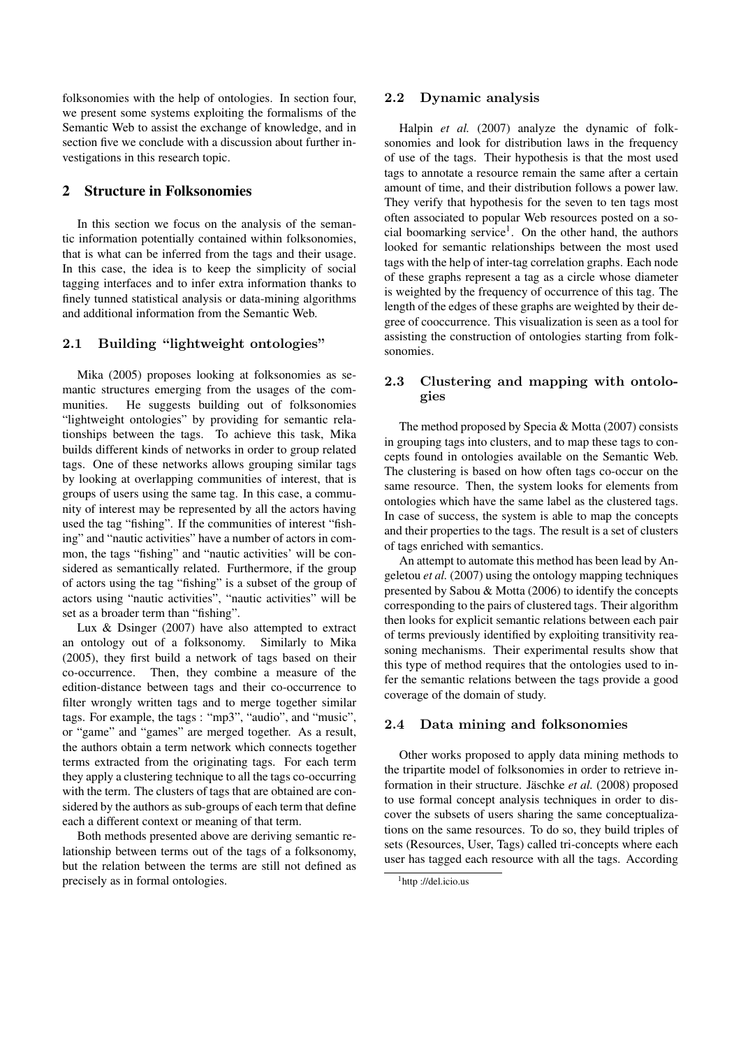folksonomies with the help of ontologies. In section four, we present some systems exploiting the formalisms of the Semantic Web to assist the exchange of knowledge, and in section five we conclude with a discussion about further investigations in this research topic.

# 2 Structure in Folksonomies

In this section we focus on the analysis of the semantic information potentially contained within folksonomies, that is what can be inferred from the tags and their usage. In this case, the idea is to keep the simplicity of social tagging interfaces and to infer extra information thanks to finely tunned statistical analysis or data-mining algorithms and additional information from the Semantic Web.

# 2.1 Building "lightweight ontologies"

Mika (2005) proposes looking at folksonomies as semantic structures emerging from the usages of the communities. He suggests building out of folksonomies "lightweight ontologies" by providing for semantic relationships between the tags. To achieve this task, Mika builds different kinds of networks in order to group related tags. One of these networks allows grouping similar tags by looking at overlapping communities of interest, that is groups of users using the same tag. In this case, a community of interest may be represented by all the actors having used the tag "fishing". If the communities of interest "fishing" and "nautic activities" have a number of actors in common, the tags "fishing" and "nautic activities' will be considered as semantically related. Furthermore, if the group of actors using the tag "fishing" is a subset of the group of actors using "nautic activities", "nautic activities" will be set as a broader term than "fishing".

Lux & Dsinger (2007) have also attempted to extract an ontology out of a folksonomy. Similarly to Mika (2005), they first build a network of tags based on their co-occurrence. Then, they combine a measure of the edition-distance between tags and their co-occurrence to filter wrongly written tags and to merge together similar tags. For example, the tags : "mp3", "audio", and "music", or "game" and "games" are merged together. As a result, the authors obtain a term network which connects together terms extracted from the originating tags. For each term they apply a clustering technique to all the tags co-occurring with the term. The clusters of tags that are obtained are considered by the authors as sub-groups of each term that define each a different context or meaning of that term.

Both methods presented above are deriving semantic relationship between terms out of the tags of a folksonomy, but the relation between the terms are still not defined as precisely as in formal ontologies.

### 2.2 Dynamic analysis

Halpin *et al.* (2007) analyze the dynamic of folksonomies and look for distribution laws in the frequency of use of the tags. Their hypothesis is that the most used tags to annotate a resource remain the same after a certain amount of time, and their distribution follows a power law. They verify that hypothesis for the seven to ten tags most often associated to popular Web resources posted on a social boomarking service<sup>1</sup>. On the other hand, the authors looked for semantic relationships between the most used tags with the help of inter-tag correlation graphs. Each node of these graphs represent a tag as a circle whose diameter is weighted by the frequency of occurrence of this tag. The length of the edges of these graphs are weighted by their degree of cooccurrence. This visualization is seen as a tool for assisting the construction of ontologies starting from folksonomies.

# 2.3 Clustering and mapping with ontologies

The method proposed by Specia & Motta (2007) consists in grouping tags into clusters, and to map these tags to concepts found in ontologies available on the Semantic Web. The clustering is based on how often tags co-occur on the same resource. Then, the system looks for elements from ontologies which have the same label as the clustered tags. In case of success, the system is able to map the concepts and their properties to the tags. The result is a set of clusters of tags enriched with semantics.

An attempt to automate this method has been lead by Angeletou *et al.* (2007) using the ontology mapping techniques presented by Sabou & Motta (2006) to identify the concepts corresponding to the pairs of clustered tags. Their algorithm then looks for explicit semantic relations between each pair of terms previously identified by exploiting transitivity reasoning mechanisms. Their experimental results show that this type of method requires that the ontologies used to infer the semantic relations between the tags provide a good coverage of the domain of study.

### 2.4 Data mining and folksonomies

Other works proposed to apply data mining methods to the tripartite model of folksonomies in order to retrieve information in their structure. Jäschke *et al.* (2008) proposed to use formal concept analysis techniques in order to discover the subsets of users sharing the same conceptualizations on the same resources. To do so, they build triples of sets (Resources, User, Tags) called tri-concepts where each user has tagged each resource with all the tags. According

<sup>&</sup>lt;sup>1</sup>http://del.icio.us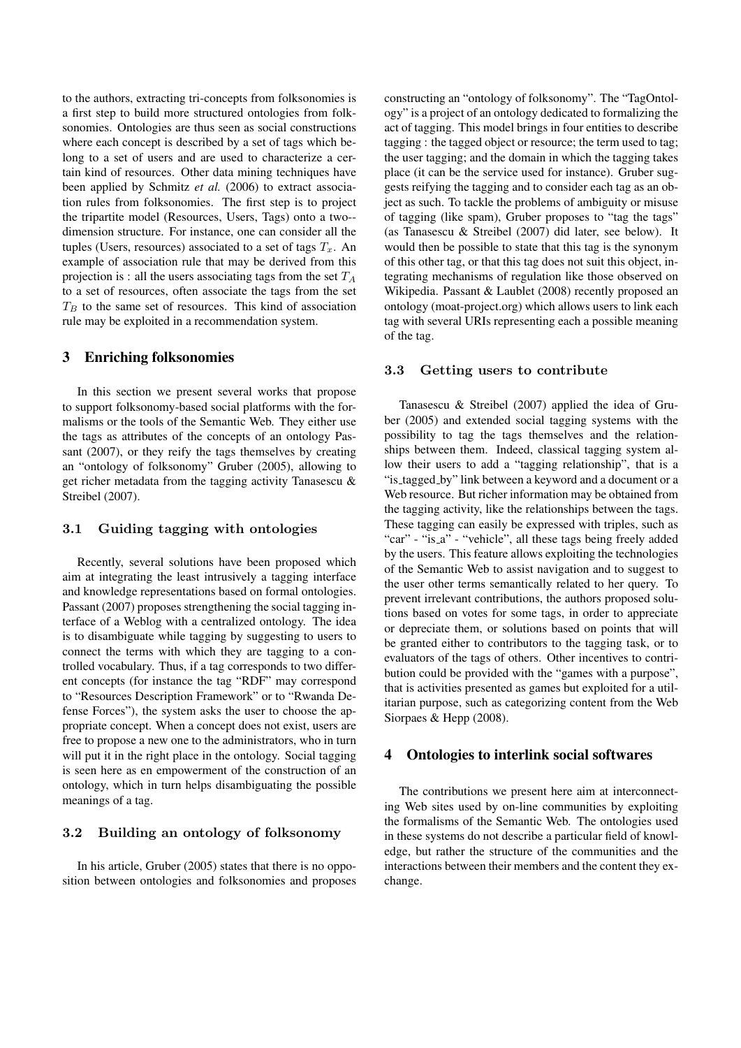to the authors, extracting tri-concepts from folksonomies is a first step to build more structured ontologies from folksonomies. Ontologies are thus seen as social constructions where each concept is described by a set of tags which belong to a set of users and are used to characterize a certain kind of resources. Other data mining techniques have been applied by Schmitz *et al.* (2006) to extract association rules from folksonomies. The first step is to project the tripartite model (Resources, Users, Tags) onto a two- dimension structure. For instance, one can consider all the tuples (Users, resources) associated to a set of tags  $T_x$ . An example of association rule that may be derived from this projection is : all the users associating tags from the set  $T_A$ to a set of resources, often associate the tags from the set  $T_B$  to the same set of resources. This kind of association rule may be exploited in a recommendation system.

# 3 Enriching folksonomies

In this section we present several works that propose to support folksonomy-based social platforms with the formalisms or the tools of the Semantic Web. They either use the tags as attributes of the concepts of an ontology Passant (2007), or they reify the tags themselves by creating an "ontology of folksonomy" Gruber (2005), allowing to get richer metadata from the tagging activity Tanasescu & Streibel (2007).

# 3.1 Guiding tagging with ontologies

Recently, several solutions have been proposed which aim at integrating the least intrusively a tagging interface and knowledge representations based on formal ontologies. Passant (2007) proposes strengthening the social tagging interface of a Weblog with a centralized ontology. The idea is to disambiguate while tagging by suggesting to users to connect the terms with which they are tagging to a controlled vocabulary. Thus, if a tag corresponds to two different concepts (for instance the tag "RDF" may correspond to "Resources Description Framework" or to "Rwanda Defense Forces"), the system asks the user to choose the appropriate concept. When a concept does not exist, users are free to propose a new one to the administrators, who in turn will put it in the right place in the ontology. Social tagging is seen here as en empowerment of the construction of an ontology, which in turn helps disambiguating the possible meanings of a tag.

# 3.2 Building an ontology of folksonomy

In his article, Gruber (2005) states that there is no opposition between ontologies and folksonomies and proposes constructing an "ontology of folksonomy". The "TagOntology" is a project of an ontology dedicated to formalizing the act of tagging. This model brings in four entities to describe tagging : the tagged object or resource; the term used to tag; the user tagging; and the domain in which the tagging takes place (it can be the service used for instance). Gruber suggests reifying the tagging and to consider each tag as an object as such. To tackle the problems of ambiguity or misuse of tagging (like spam), Gruber proposes to "tag the tags" (as Tanasescu & Streibel (2007) did later, see below). It would then be possible to state that this tag is the synonym of this other tag, or that this tag does not suit this object, integrating mechanisms of regulation like those observed on Wikipedia. Passant & Laublet (2008) recently proposed an ontology (moat-project.org) which allows users to link each tag with several URIs representing each a possible meaning of the tag.

#### 3.3 Getting users to contribute

Tanasescu & Streibel (2007) applied the idea of Gruber (2005) and extended social tagging systems with the possibility to tag the tags themselves and the relationships between them. Indeed, classical tagging system allow their users to add a "tagging relationship", that is a "is\_tagged\_by" link between a keyword and a document or a Web resource. But richer information may be obtained from the tagging activity, like the relationships between the tags. These tagging can easily be expressed with triples, such as "car" - "is\_a" - "vehicle", all these tags being freely added by the users. This feature allows exploiting the technologies of the Semantic Web to assist navigation and to suggest to the user other terms semantically related to her query. To prevent irrelevant contributions, the authors proposed solutions based on votes for some tags, in order to appreciate or depreciate them, or solutions based on points that will be granted either to contributors to the tagging task, or to evaluators of the tags of others. Other incentives to contribution could be provided with the "games with a purpose", that is activities presented as games but exploited for a utilitarian purpose, such as categorizing content from the Web Siorpaes & Hepp (2008).

# 4 Ontologies to interlink social softwares

The contributions we present here aim at interconnecting Web sites used by on-line communities by exploiting the formalisms of the Semantic Web. The ontologies used in these systems do not describe a particular field of knowledge, but rather the structure of the communities and the interactions between their members and the content they exchange.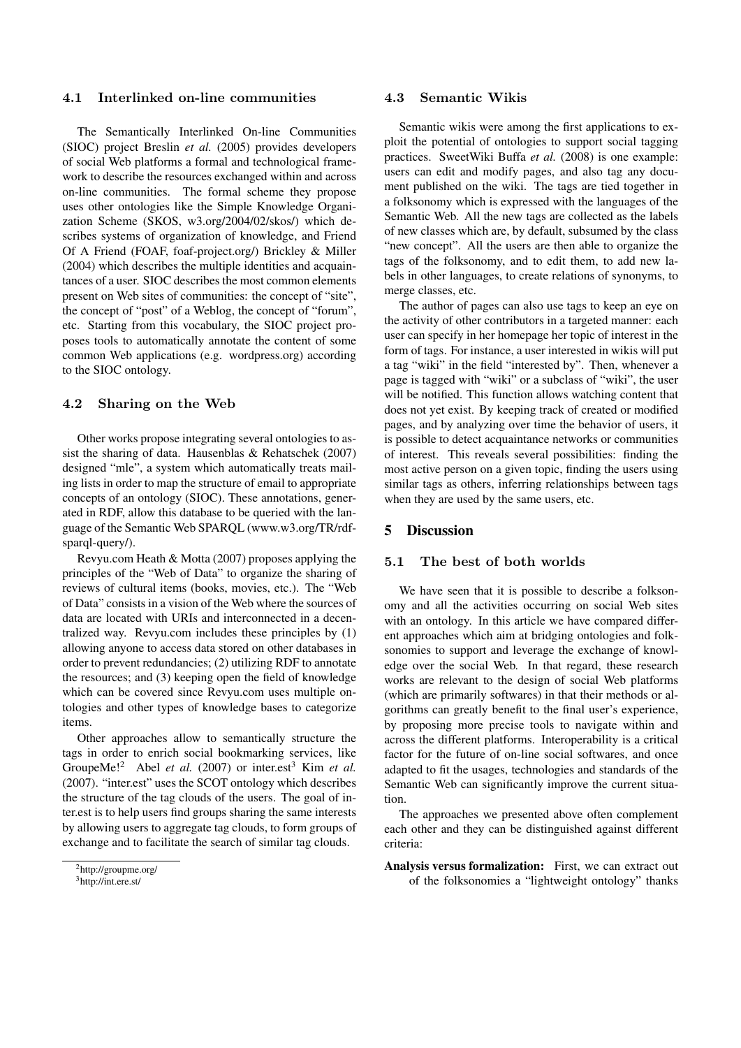### 4.1 Interlinked on-line communities

The Semantically Interlinked On-line Communities (SIOC) project Breslin *et al.* (2005) provides developers of social Web platforms a formal and technological framework to describe the resources exchanged within and across on-line communities. The formal scheme they propose uses other ontologies like the Simple Knowledge Organization Scheme (SKOS, w3.org/2004/02/skos/) which describes systems of organization of knowledge, and Friend Of A Friend (FOAF, foaf-project.org/) Brickley & Miller (2004) which describes the multiple identities and acquaintances of a user. SIOC describes the most common elements present on Web sites of communities: the concept of "site", the concept of "post" of a Weblog, the concept of "forum", etc. Starting from this vocabulary, the SIOC project proposes tools to automatically annotate the content of some common Web applications (e.g. wordpress.org) according to the SIOC ontology.

### 4.2 Sharing on the Web

Other works propose integrating several ontologies to assist the sharing of data. Hausenblas & Rehatschek (2007) designed "mle", a system which automatically treats mailing lists in order to map the structure of email to appropriate concepts of an ontology (SIOC). These annotations, generated in RDF, allow this database to be queried with the language of the Semantic Web SPARQL (www.w3.org/TR/rdfsparql-query/).

Revyu.com Heath & Motta (2007) proposes applying the principles of the "Web of Data" to organize the sharing of reviews of cultural items (books, movies, etc.). The "Web of Data" consists in a vision of the Web where the sources of data are located with URIs and interconnected in a decentralized way. Revyu.com includes these principles by (1) allowing anyone to access data stored on other databases in order to prevent redundancies; (2) utilizing RDF to annotate the resources; and (3) keeping open the field of knowledge which can be covered since Revyu.com uses multiple ontologies and other types of knowledge bases to categorize items.

Other approaches allow to semantically structure the tags in order to enrich social bookmarking services, like GroupeMe!<sup>2</sup> Abel *et al.* (2007) or inter.est<sup>3</sup> Kim *et al.* (2007). "inter.est" uses the SCOT ontology which describes the structure of the tag clouds of the users. The goal of inter.est is to help users find groups sharing the same interests by allowing users to aggregate tag clouds, to form groups of exchange and to facilitate the search of similar tag clouds.

#### 4.3 Semantic Wikis

Semantic wikis were among the first applications to exploit the potential of ontologies to support social tagging practices. SweetWiki Buffa *et al.* (2008) is one example: users can edit and modify pages, and also tag any document published on the wiki. The tags are tied together in a folksonomy which is expressed with the languages of the Semantic Web. All the new tags are collected as the labels of new classes which are, by default, subsumed by the class "new concept". All the users are then able to organize the tags of the folksonomy, and to edit them, to add new labels in other languages, to create relations of synonyms, to merge classes, etc.

The author of pages can also use tags to keep an eye on the activity of other contributors in a targeted manner: each user can specify in her homepage her topic of interest in the form of tags. For instance, a user interested in wikis will put a tag "wiki" in the field "interested by". Then, whenever a page is tagged with "wiki" or a subclass of "wiki", the user will be notified. This function allows watching content that does not yet exist. By keeping track of created or modified pages, and by analyzing over time the behavior of users, it is possible to detect acquaintance networks or communities of interest. This reveals several possibilities: finding the most active person on a given topic, finding the users using similar tags as others, inferring relationships between tags when they are used by the same users, etc.

# 5 Discussion

### 5.1 The best of both worlds

We have seen that it is possible to describe a folksonomy and all the activities occurring on social Web sites with an ontology. In this article we have compared different approaches which aim at bridging ontologies and folksonomies to support and leverage the exchange of knowledge over the social Web. In that regard, these research works are relevant to the design of social Web platforms (which are primarily softwares) in that their methods or algorithms can greatly benefit to the final user's experience, by proposing more precise tools to navigate within and across the different platforms. Interoperability is a critical factor for the future of on-line social softwares, and once adapted to fit the usages, technologies and standards of the Semantic Web can significantly improve the current situation.

The approaches we presented above often complement each other and they can be distinguished against different criteria:

Analysis versus formalization: First, we can extract out of the folksonomies a "lightweight ontology" thanks

<sup>2</sup>http://groupme.org/

<sup>3</sup>http://int.ere.st/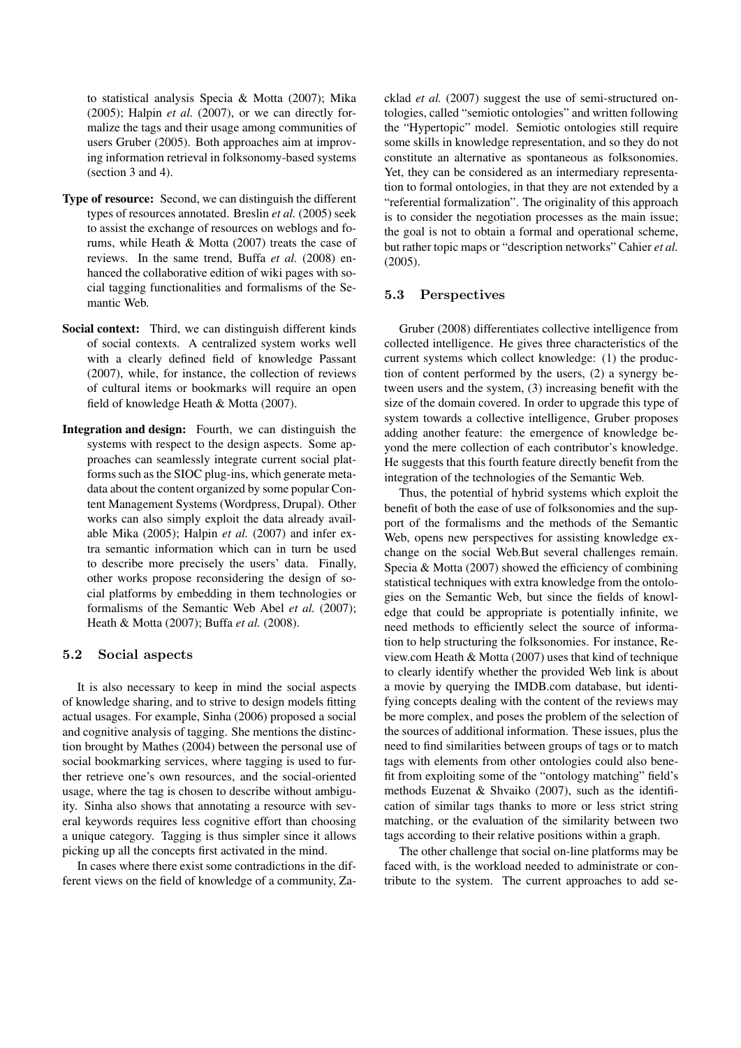to statistical analysis Specia & Motta (2007); Mika  $(2005)$ ; Halpin *et al.*  $(2007)$ , or we can directly formalize the tags and their usage among communities of users Gruber (2005). Both approaches aim at improving information retrieval in folksonomy-based systems (section 3 and 4).

- Type of resource: Second, we can distinguish the different types of resources annotated. Breslin *et al.* (2005) seek to assist the exchange of resources on weblogs and forums, while Heath & Motta (2007) treats the case of reviews. In the same trend, Buffa *et al.* (2008) enhanced the collaborative edition of wiki pages with social tagging functionalities and formalisms of the Semantic Web.
- Social context: Third, we can distinguish different kinds of social contexts. A centralized system works well with a clearly defined field of knowledge Passant (2007), while, for instance, the collection of reviews of cultural items or bookmarks will require an open field of knowledge Heath & Motta (2007).
- Integration and design: Fourth, we can distinguish the systems with respect to the design aspects. Some approaches can seamlessly integrate current social platforms such as the SIOC plug-ins, which generate metadata about the content organized by some popular Content Management Systems (Wordpress, Drupal). Other works can also simply exploit the data already available Mika (2005); Halpin *et al.* (2007) and infer extra semantic information which can in turn be used to describe more precisely the users' data. Finally, other works propose reconsidering the design of social platforms by embedding in them technologies or formalisms of the Semantic Web Abel *et al.* (2007); Heath & Motta (2007); Buffa *et al.* (2008).

### 5.2 Social aspects

It is also necessary to keep in mind the social aspects of knowledge sharing, and to strive to design models fitting actual usages. For example, Sinha (2006) proposed a social and cognitive analysis of tagging. She mentions the distinction brought by Mathes (2004) between the personal use of social bookmarking services, where tagging is used to further retrieve one's own resources, and the social-oriented usage, where the tag is chosen to describe without ambiguity. Sinha also shows that annotating a resource with several keywords requires less cognitive effort than choosing a unique category. Tagging is thus simpler since it allows picking up all the concepts first activated in the mind.

In cases where there exist some contradictions in the different views on the field of knowledge of a community, Zacklad *et al.* (2007) suggest the use of semi-structured ontologies, called "semiotic ontologies" and written following the "Hypertopic" model. Semiotic ontologies still require some skills in knowledge representation, and so they do not constitute an alternative as spontaneous as folksonomies. Yet, they can be considered as an intermediary representation to formal ontologies, in that they are not extended by a "referential formalization". The originality of this approach is to consider the negotiation processes as the main issue; the goal is not to obtain a formal and operational scheme, but rather topic maps or "description networks" Cahier *et al.* (2005).

### 5.3 Perspectives

Gruber (2008) differentiates collective intelligence from collected intelligence. He gives three characteristics of the current systems which collect knowledge: (1) the production of content performed by the users, (2) a synergy between users and the system, (3) increasing benefit with the size of the domain covered. In order to upgrade this type of system towards a collective intelligence, Gruber proposes adding another feature: the emergence of knowledge beyond the mere collection of each contributor's knowledge. He suggests that this fourth feature directly benefit from the integration of the technologies of the Semantic Web.

Thus, the potential of hybrid systems which exploit the benefit of both the ease of use of folksonomies and the support of the formalisms and the methods of the Semantic Web, opens new perspectives for assisting knowledge exchange on the social Web.But several challenges remain. Specia & Motta (2007) showed the efficiency of combining statistical techniques with extra knowledge from the ontologies on the Semantic Web, but since the fields of knowledge that could be appropriate is potentially infinite, we need methods to efficiently select the source of information to help structuring the folksonomies. For instance, Review.com Heath & Motta (2007) uses that kind of technique to clearly identify whether the provided Web link is about a movie by querying the IMDB.com database, but identifying concepts dealing with the content of the reviews may be more complex, and poses the problem of the selection of the sources of additional information. These issues, plus the need to find similarities between groups of tags or to match tags with elements from other ontologies could also benefit from exploiting some of the "ontology matching" field's methods Euzenat & Shvaiko (2007), such as the identification of similar tags thanks to more or less strict string matching, or the evaluation of the similarity between two tags according to their relative positions within a graph.

The other challenge that social on-line platforms may be faced with, is the workload needed to administrate or contribute to the system. The current approaches to add se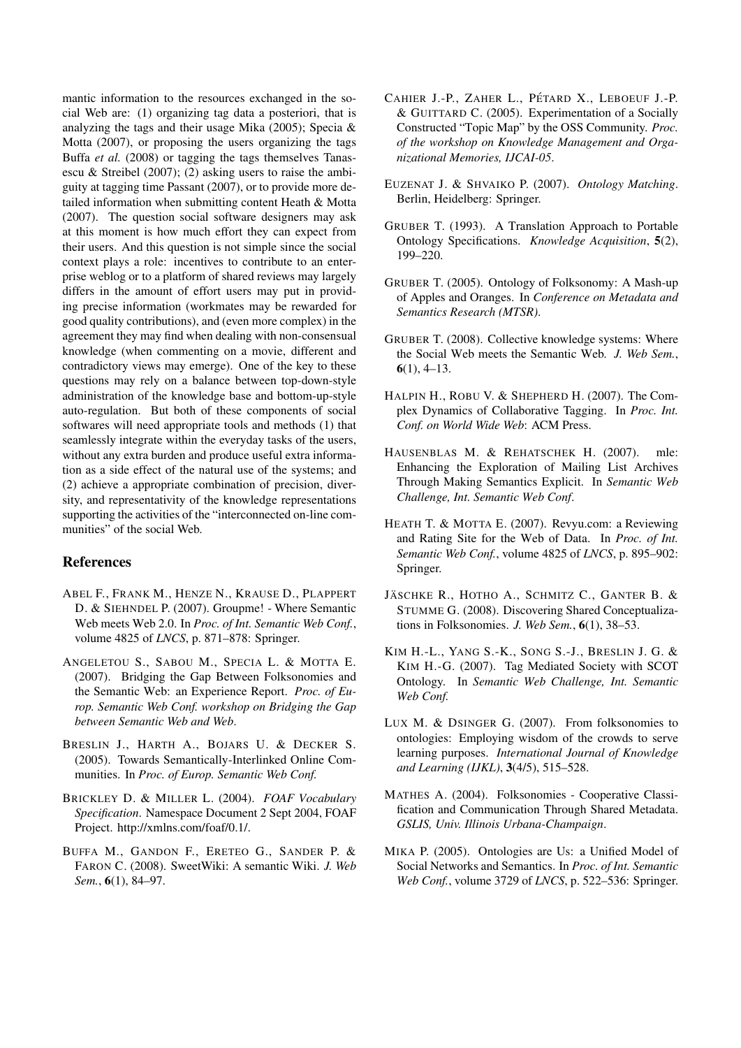mantic information to the resources exchanged in the social Web are: (1) organizing tag data a posteriori, that is analyzing the tags and their usage Mika (2005); Specia & Motta (2007), or proposing the users organizing the tags Buffa *et al.* (2008) or tagging the tags themselves Tanasescu & Streibel (2007); (2) asking users to raise the ambiguity at tagging time Passant (2007), or to provide more detailed information when submitting content Heath & Motta (2007). The question social software designers may ask at this moment is how much effort they can expect from their users. And this question is not simple since the social context plays a role: incentives to contribute to an enterprise weblog or to a platform of shared reviews may largely differs in the amount of effort users may put in providing precise information (workmates may be rewarded for good quality contributions), and (even more complex) in the agreement they may find when dealing with non-consensual knowledge (when commenting on a movie, different and contradictory views may emerge). One of the key to these questions may rely on a balance between top-down-style administration of the knowledge base and bottom-up-style auto-regulation. But both of these components of social softwares will need appropriate tools and methods (1) that seamlessly integrate within the everyday tasks of the users, without any extra burden and produce useful extra information as a side effect of the natural use of the systems; and (2) achieve a appropriate combination of precision, diversity, and representativity of the knowledge representations supporting the activities of the "interconnected on-line communities" of the social Web.

# References

- ABEL F., FRANK M., HENZE N., KRAUSE D., PLAPPERT D. & SIEHNDEL P. (2007). Groupme! - Where Semantic Web meets Web 2.0. In *Proc. of Int. Semantic Web Conf.*, volume 4825 of *LNCS*, p. 871–878: Springer.
- ANGELETOU S., SABOU M., SPECIA L. & MOTTA E. (2007). Bridging the Gap Between Folksonomies and the Semantic Web: an Experience Report. *Proc. of Europ. Semantic Web Conf. workshop on Bridging the Gap between Semantic Web and Web*.
- BRESLIN J., HARTH A., BOJARS U. & DECKER S. (2005). Towards Semantically-Interlinked Online Communities. In *Proc. of Europ. Semantic Web Conf.*
- BRICKLEY D. & MILLER L. (2004). *FOAF Vocabulary Specification*. Namespace Document 2 Sept 2004, FOAF Project. http://xmlns.com/foaf/0.1/.
- BUFFA M., GANDON F., ERETEO G., SANDER P. & FARON C. (2008). SweetWiki: A semantic Wiki. *J. Web Sem.*, 6(1), 84–97.
- CAHIER J.-P., ZAHER L., PÉTARD X., LEBOEUF J.-P. & GUITTARD C. (2005). Experimentation of a Socially Constructed "Topic Map" by the OSS Community. *Proc. of the workshop on Knowledge Management and Organizational Memories, IJCAI-05*.
- EUZENAT J. & SHVAIKO P. (2007). *Ontology Matching*. Berlin, Heidelberg: Springer.
- GRUBER T. (1993). A Translation Approach to Portable Ontology Specifications. *Knowledge Acquisition*, 5(2), 199–220.
- GRUBER T. (2005). Ontology of Folksonomy: A Mash-up of Apples and Oranges. In *Conference on Metadata and Semantics Research (MTSR)*.
- GRUBER T. (2008). Collective knowledge systems: Where the Social Web meets the Semantic Web. *J. Web Sem.*,  $6(1)$ , 4-13.
- HALPIN H., ROBU V. & SHEPHERD H. (2007). The Complex Dynamics of Collaborative Tagging. In *Proc. Int. Conf. on World Wide Web*: ACM Press.
- HAUSENBLAS M. & REHATSCHEK H. (2007). mle: Enhancing the Exploration of Mailing List Archives Through Making Semantics Explicit. In *Semantic Web Challenge, Int. Semantic Web Conf*.
- HEATH T. & MOTTA E. (2007). Revyu.com: a Reviewing and Rating Site for the Web of Data. In *Proc. of Int. Semantic Web Conf.*, volume 4825 of *LNCS*, p. 895–902: Springer.
- JÄSCHKE R., HOTHO A., SCHMITZ C., GANTER B. & STUMME G. (2008). Discovering Shared Conceptualizations in Folksonomies. *J. Web Sem.*, 6(1), 38–53.
- KIM H.-L., YANG S.-K., SONG S.-J., BRESLIN J. G. & KIM H.-G. (2007). Tag Mediated Society with SCOT Ontology. In *Semantic Web Challenge, Int. Semantic Web Conf.*
- LUX M. & DSINGER G. (2007). From folksonomies to ontologies: Employing wisdom of the crowds to serve learning purposes. *International Journal of Knowledge and Learning (IJKL)*, 3(4/5), 515–528.
- MATHES A. (2004). Folksonomies Cooperative Classification and Communication Through Shared Metadata. *GSLIS, Univ. Illinois Urbana-Champaign*.
- MIKA P. (2005). Ontologies are Us: a Unified Model of Social Networks and Semantics. In *Proc. of Int. Semantic Web Conf.*, volume 3729 of *LNCS*, p. 522–536: Springer.